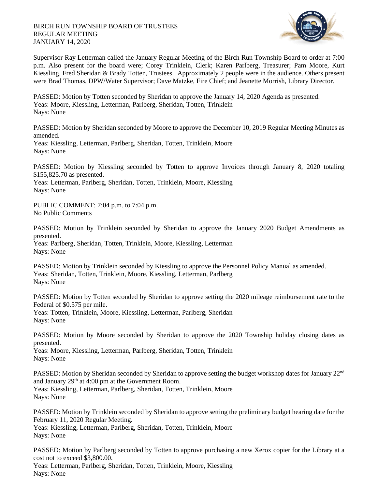

Supervisor Ray Letterman called the January Regular Meeting of the Birch Run Township Board to order at 7:00 p.m. Also present for the board were; Corey Trinklein, Clerk; Karen Parlberg, Treasurer; Pam Moore, Kurt Kiessling, Fred Sheridan & Brady Totten, Trustees. Approximately 2 people were in the audience. Others present were Brad Thomas, DPW/Water Supervisor; Dave Matzke, Fire Chief; and Jeanette Morrish, Library Director.

PASSED: Motion by Totten seconded by Sheridan to approve the January 14, 2020 Agenda as presented. Yeas: Moore, Kiessling, Letterman, Parlberg, Sheridan, Totten, Trinklein Nays: None

PASSED: Motion by Sheridan seconded by Moore to approve the December 10, 2019 Regular Meeting Minutes as amended.

Yeas: Kiessling, Letterman, Parlberg, Sheridan, Totten, Trinklein, Moore Nays: None

PASSED: Motion by Kiessling seconded by Totten to approve Invoices through January 8, 2020 totaling \$155,825.70 as presented.

Yeas: Letterman, Parlberg, Sheridan, Totten, Trinklein, Moore, Kiessling Nays: None

PUBLIC COMMENT: 7:04 p.m. to 7:04 p.m. No Public Comments

PASSED: Motion by Trinklein seconded by Sheridan to approve the January 2020 Budget Amendments as presented.

Yeas: Parlberg, Sheridan, Totten, Trinklein, Moore, Kiessling, Letterman Nays: None

PASSED: Motion by Trinklein seconded by Kiessling to approve the Personnel Policy Manual as amended. Yeas: Sheridan, Totten, Trinklein, Moore, Kiessling, Letterman, Parlberg Nays: None

PASSED: Motion by Totten seconded by Sheridan to approve setting the 2020 mileage reimbursement rate to the Federal of \$0.575 per mile.

Yeas: Totten, Trinklein, Moore, Kiessling, Letterman, Parlberg, Sheridan Nays: None

PASSED: Motion by Moore seconded by Sheridan to approve the 2020 Township holiday closing dates as presented.

Yeas: Moore, Kiessling, Letterman, Parlberg, Sheridan, Totten, Trinklein Nays: None

PASSED: Motion by Sheridan seconded by Sheridan to approve setting the budget workshop dates for January 22<sup>nd</sup> and January 29th at 4:00 pm at the Government Room. Yeas: Kiessling, Letterman, Parlberg, Sheridan, Totten, Trinklein, Moore

Nays: None

PASSED: Motion by Trinklein seconded by Sheridan to approve setting the preliminary budget hearing date for the February 11, 2020 Regular Meeting.

Yeas: Kiessling, Letterman, Parlberg, Sheridan, Totten, Trinklein, Moore Nays: None

PASSED: Motion by Parlberg seconded by Totten to approve purchasing a new Xerox copier for the Library at a cost not to exceed \$3,800.00.

Yeas: Letterman, Parlberg, Sheridan, Totten, Trinklein, Moore, Kiessling Nays: None